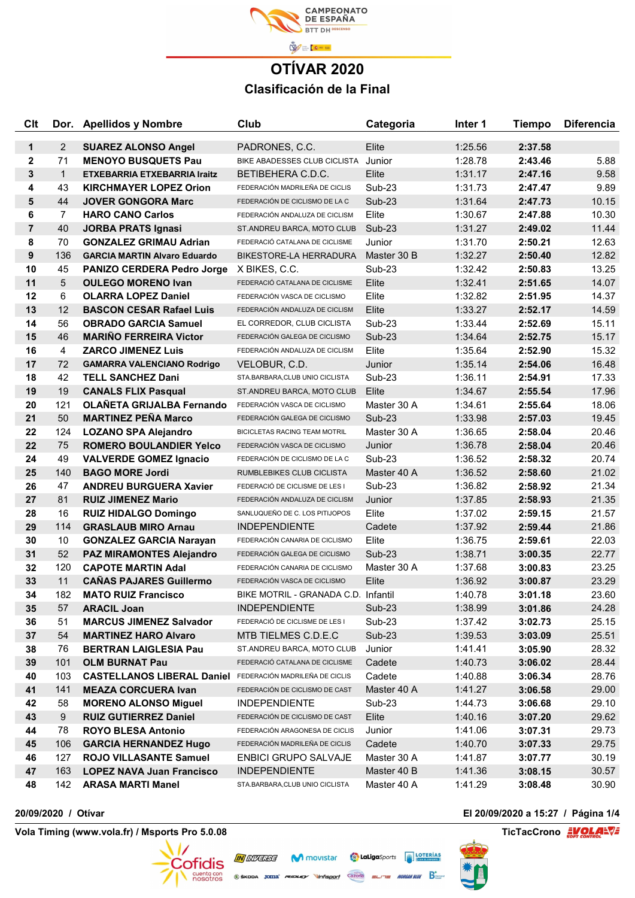

## OTÍVAR 2020 Clasificación de la Final

| C <sub>It</sub> |                | Dor. Apellidos y Nombre                                          | Club                                | Categoria   | Inter 1 | Tiempo  | <b>Diferencia</b> |
|-----------------|----------------|------------------------------------------------------------------|-------------------------------------|-------------|---------|---------|-------------------|
| 1               | $\overline{2}$ | <b>SUAREZ ALONSO Angel</b>                                       | PADRONES, C.C.                      | Elite       | 1:25.56 | 2:37.58 |                   |
| $\mathbf 2$     | 71             | <b>MENOYO BUSQUETS Pau</b>                                       | <b>BIKE ABADESSES CLUB CICLISTA</b> | Junior      | 1:28.78 | 2:43.46 | 5.88              |
| 3               | $\mathbf{1}$   | <b>ETXEBARRIA ETXEBARRIA Iraitz</b>                              | BETIBEHERA C.D.C.                   | Elite       | 1:31.17 | 2:47.16 | 9.58              |
| 4               | 43             | <b>KIRCHMAYER LOPEZ Orion</b>                                    | FEDERACIÓN MADRILEÑA DE CICLIS      | Sub-23      | 1:31.73 | 2:47.47 | 9.89              |
| 5               | 44             | <b>JOVER GONGORA Marc</b>                                        | FEDERACIÓN DE CICLISMO DE LA C      | $Sub-23$    | 1:31.64 | 2:47.73 | 10.15             |
| 6               | $\overline{7}$ | <b>HARO CANO Carlos</b>                                          | FEDERACIÓN ANDALUZA DE CICLISM      | Elite       | 1:30.67 | 2:47.88 | 10.30             |
| $\overline{7}$  | 40             | <b>JORBA PRATS Ignasi</b>                                        | ST.ANDREU BARCA, MOTO CLUB          | $Sub-23$    | 1:31.27 | 2:49.02 | 11.44             |
| 8               | 70             | <b>GONZALEZ GRIMAU Adrian</b>                                    | FEDERACIÓ CATALANA DE CICLISME      | Junior      | 1:31.70 | 2:50.21 | 12.63             |
| 9               | 136            | <b>GARCIA MARTIN Alvaro Eduardo</b>                              | <b>BIKESTORE-LA HERRADURA</b>       | Master 30 B | 1:32.27 | 2:50.40 | 12.82             |
| 10              | 45             | PANIZO CERDERA Pedro Jorge                                       | X BIKES, C.C.                       | Sub-23      | 1:32.42 | 2:50.83 | 13.25             |
| 11              | 5              | <b>OULEGO MORENO Ivan</b>                                        | FEDERACIÓ CATALANA DE CICLISME      | Elite       | 1:32.41 | 2:51.65 | 14.07             |
| 12              | 6              | <b>OLARRA LOPEZ Daniel</b>                                       | FEDERACIÓN VASCA DE CICLISMO        | Elite       | 1:32.82 | 2:51.95 | 14.37             |
| 13              | 12             | <b>BASCON CESAR Rafael Luis</b>                                  | FEDERACIÓN ANDALUZA DE CICLISM      | Elite       | 1:33.27 | 2:52.17 | 14.59             |
| 14              | 56             | <b>OBRADO GARCIA Samuel</b>                                      | EL CORREDOR, CLUB CICLISTA          | Sub-23      | 1:33.44 | 2:52.69 | 15.11             |
| 15              | 46             | <b>MARIÑO FERREIRA Victor</b>                                    | FEDERACIÓN GALEGA DE CICLISMO       | $Sub-23$    | 1:34.64 | 2:52.75 | 15.17             |
| 16              | 4              | <b>ZARCO JIMENEZ Luis</b>                                        | FEDERACIÓN ANDALUZA DE CICLISM      | Elite       | 1:35.64 | 2:52.90 | 15.32             |
| 17              | 72             | <b>GAMARRA VALENCIANO Rodrigo</b>                                | VELOBUR, C.D.                       | Junior      | 1:35.14 | 2:54.06 | 16.48             |
| 18              | 42             | <b>TELL SANCHEZ Dani</b>                                         | STA.BARBARA, CLUB UNIO CICLISTA     | Sub-23      | 1:36.11 | 2:54.91 | 17.33             |
| 19              | 19             | <b>CANALS FLIX Pasqual</b>                                       | ST.ANDREU BARCA, MOTO CLUB          | Elite       | 1:34.67 | 2:55.54 | 17.96             |
| 20              | 121            | <b>OLAÑETA GRIJALBA Fernando</b>                                 | FEDERACIÓN VASCA DE CICLISMO        | Master 30 A | 1:34.61 | 2:55.64 | 18.06             |
| 21              | 50             | <b>MARTINEZ PEÑA Marco</b>                                       | FEDERACIÓN GALEGA DE CICLISMO       | $Sub-23$    | 1:33.98 | 2:57.03 | 19.45             |
| 22              | 124            | <b>LOZANO SPA Alejandro</b>                                      | BICICLETAS RACING TEAM MOTRIL       | Master 30 A | 1:36.65 | 2:58.04 | 20.46             |
| 22              | 75             | <b>ROMERO BOULANDIER Yelco</b>                                   | FEDERACIÓN VASCA DE CICLISMO        | Junior      | 1:36.78 | 2:58.04 | 20.46             |
| 24              | 49             | <b>VALVERDE GOMEZ Ignacio</b>                                    | FEDERACIÓN DE CICLISMO DE LA C      | Sub-23      | 1:36.52 | 2:58.32 | 20.74             |
| 25              | 140            | <b>BAGO MORE Jordi</b>                                           | RUMBLEBIKES CLUB CICLISTA           | Master 40 A | 1:36.52 | 2:58.60 | 21.02             |
| 26              | 47             | <b>ANDREU BURGUERA Xavier</b>                                    | FEDERACIÓ DE CICLISME DE LES I      | Sub-23      | 1:36.82 | 2:58.92 | 21.34             |
| 27              | 81             | <b>RUIZ JIMENEZ Mario</b>                                        | FEDERACIÓN ANDALUZA DE CICLISM      | Junior      | 1:37.85 | 2:58.93 | 21.35             |
| 28              | 16             | <b>RUIZ HIDALGO Domingo</b>                                      | SANLUQUEÑO DE C. LOS PITIJOPOS      | Elite       | 1:37.02 | 2:59.15 | 21.57             |
| 29              | 114            | <b>GRASLAUB MIRO Arnau</b>                                       | <b>INDEPENDIENTE</b>                | Cadete      | 1:37.92 | 2:59.44 | 21.86             |
| 30              | 10             | <b>GONZALEZ GARCIA Narayan</b>                                   | FEDERACIÓN CANARIA DE CICLISMO      | Elite       | 1:36.75 | 2:59.61 | 22.03             |
| 31              | 52             | <b>PAZ MIRAMONTES Alejandro</b>                                  | FEDERACIÓN GALEGA DE CICLISMO       | Sub-23      | 1:38.71 | 3:00.35 | 22.77             |
| 32              | 120            | <b>CAPOTE MARTIN Adal</b>                                        | FEDERACIÓN CANARIA DE CICLISMO      | Master 30 A | 1:37.68 | 3:00.83 | 23.25             |
| 33              | 11             | <b>CAÑAS PAJARES Guillermo</b>                                   | FEDERACIÓN VASCA DE CICLISMO        | Elite       | 1:36.92 | 3:00.87 | 23.29             |
| 34              | 182            | <b>MATO RUIZ Francisco</b>                                       | BIKE MOTRIL - GRANADA C.D. Infantil |             | 1:40.78 | 3:01.18 | 23.60             |
| 35              | 57             | <b>ARACIL Joan</b>                                               | <b>INDEPENDIENTE</b>                | Sub-23      | 1:38.99 | 3:01.86 | 24.28             |
| 36              | 51             | <b>MARCUS JIMENEZ Salvador</b>                                   | FEDERACIÓ DE CICLISME DE LES I      | Sub-23      | 1:37.42 | 3:02.73 | 25.15             |
| 37              | 54             | <b>MARTINEZ HARO Alvaro</b>                                      | MTB TIELMES C.D.E.C                 | Sub-23      | 1:39.53 | 3:03.09 | 25.51             |
| 38              | 76             | <b>BERTRAN LAIGLESIA Pau</b>                                     | ST.ANDREU BARCA, MOTO CLUB          | Junior      | 1:41.41 | 3:05.90 | 28.32             |
| 39              | 101            | <b>OLM BURNAT Pau</b>                                            | FEDERACIÓ CATALANA DE CICLISME      | Cadete      | 1:40.73 | 3:06.02 | 28.44             |
| 40              | 103            | <b>CASTELLANOS LIBERAL Daniel FEDERACIÓN MADRILEÑA DE CICLIS</b> |                                     | Cadete      | 1:40.88 | 3:06.34 | 28.76             |
| 41              | 141            | <b>MEAZA CORCUERA Ivan</b>                                       | FEDERACIÓN DE CICLISMO DE CAST      | Master 40 A | 1:41.27 | 3:06.58 | 29.00             |
| 42              | 58             | <b>MORENO ALONSO Miguel</b>                                      | <b>INDEPENDIENTE</b>                | Sub-23      | 1:44.73 | 3:06.68 | 29.10             |
| 43              | 9              | <b>RUIZ GUTIERREZ Daniel</b>                                     | FEDERACIÓN DE CICLISMO DE CAST      | Elite       | 1:40.16 | 3:07.20 | 29.62             |
| 44              | 78             | <b>ROYO BLESA Antonio</b>                                        | FEDERACIÓN ARAGONESA DE CICLIS      | Junior      | 1:41.06 | 3:07.31 | 29.73             |
| 45              | 106            | <b>GARCIA HERNANDEZ Hugo</b>                                     | FEDERACIÓN MADRILEÑA DE CICLIS      | Cadete      | 1:40.70 | 3:07.33 | 29.75             |
| 46              | 127            | <b>ROJO VILLASANTE Samuel</b>                                    | <b>ENBICI GRUPO SALVAJE</b>         | Master 30 A | 1:41.87 | 3:07.77 | 30.19             |
| 47              | 163            | <b>LOPEZ NAVA Juan Francisco</b>                                 | <b>INDEPENDIENTE</b>                | Master 40 B | 1:41.36 | 3:08.15 | 30.57             |
| 48              | 142            | <b>ARASA MARTI Manel</b>                                         | STA.BARBARA, CLUB UNIO CICLISTA     | Master 40 A | 1:41.29 | 3:08.48 | 30.90             |

Vola Timing (www.vola.fr) / Msports Pro 5.0.08 TicTacCrono and TicTacCrono and TicTacCrono and TicTacCrono and TicTacCrono and TicTacCrono and TicTacCrono and TicTacCrono and TicTacCrono and TicTacCrono and TicTacCrono and



20/09/2020 / Otívar El 20/09/2020 a 15:27 / Página 1/4



**O LaLiga**Sports **THE LOTERÍAS** 

 $\equiv$  morgan blue  $\mathbf{B}^{\bullet}_{\text{source}}$ 

Cazorla

**IN INVERSE** M movistar

SKODA JOMA<sup>\*</sup> **RUDLEY** Vinfisport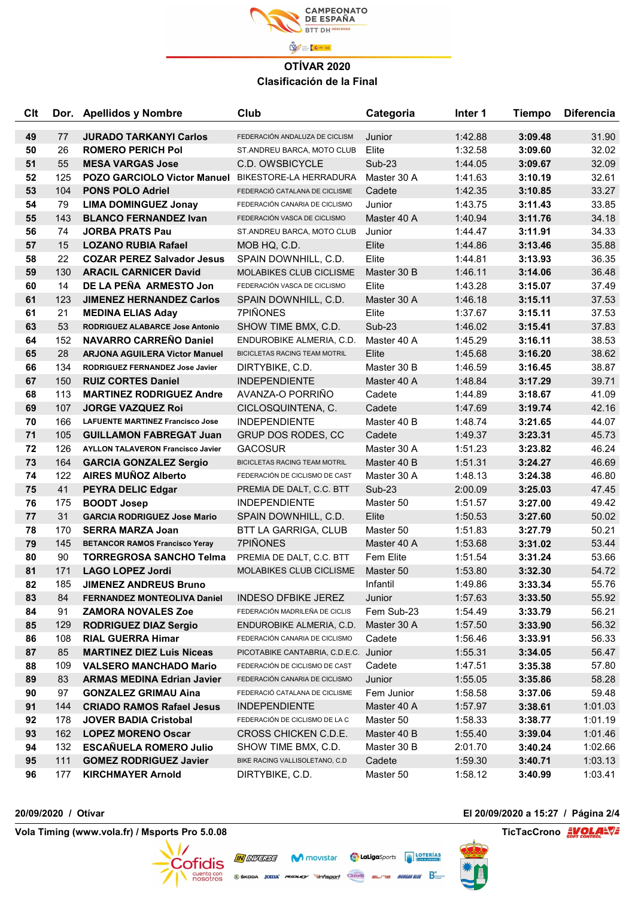

## OTÍVAR 2020 Clasificación de la Final

| C <sub>It</sub> |     | Dor. Apellidos y Nombre                            | Club                                  | Categoria   | Inter 1 | Tiempo  | <b>Diferencia</b> |
|-----------------|-----|----------------------------------------------------|---------------------------------------|-------------|---------|---------|-------------------|
| 49              | 77  | <b>JURADO TARKANYI Carlos</b>                      | FEDERACIÓN ANDALUZA DE CICLISM        | Junior      | 1:42.88 | 3:09.48 | 31.90             |
| 50              | 26  | <b>ROMERO PERICH Pol</b>                           | ST.ANDREU BARCA, MOTO CLUB            | Elite       | 1:32.58 | 3:09.60 | 32.02             |
| 51              | 55  | <b>MESA VARGAS Jose</b>                            | C.D. OWSBICYCLE                       | $Sub-23$    | 1:44.05 | 3:09.67 | 32.09             |
| 52              | 125 | POZO GARCIOLO Victor Manuel BIKESTORE-LA HERRADURA |                                       | Master 30 A | 1:41.63 | 3:10.19 | 32.61             |
| 53              | 104 | <b>PONS POLO Adriel</b>                            | FEDERACIÓ CATALANA DE CICLISME        | Cadete      | 1:42.35 | 3:10.85 | 33.27             |
| 54              | 79  | <b>LIMA DOMINGUEZ Jonay</b>                        | FEDERACIÓN CANARIA DE CICLISMO        | Junior      | 1:43.75 | 3:11.43 | 33.85             |
| 55              | 143 | <b>BLANCO FERNANDEZ Ivan</b>                       | FEDERACIÓN VASCA DE CICLISMO          | Master 40 A | 1:40.94 | 3:11.76 | 34.18             |
| 56              | 74  | <b>JORBA PRATS Pau</b>                             | ST.ANDREU BARCA, MOTO CLUB            | Junior      | 1:44.47 | 3:11.91 | 34.33             |
| 57              | 15  | <b>LOZANO RUBIA Rafael</b>                         | MOB HQ, C.D.                          | Elite       | 1:44.86 | 3:13.46 | 35.88             |
| 58              | 22  | <b>COZAR PEREZ Salvador Jesus</b>                  | SPAIN DOWNHILL, C.D.                  | Elite       | 1:44.81 | 3:13.93 | 36.35             |
| 59              | 130 | <b>ARACIL CARNICER David</b>                       | <b>MOLABIKES CLUB CICLISME</b>        | Master 30 B | 1:46.11 | 3:14.06 | 36.48             |
| 60              | 14  | DE LA PEÑA ARMESTO Jon                             | FEDERACIÓN VASCA DE CICLISMO          | Elite       | 1:43.28 | 3:15.07 | 37.49             |
| 61              | 123 | <b>JIMENEZ HERNANDEZ Carlos</b>                    | SPAIN DOWNHILL, C.D.                  | Master 30 A | 1:46.18 | 3:15.11 | 37.53             |
| 61              | 21  | <b>MEDINA ELIAS Aday</b>                           | <b>7PIÑONES</b>                       | Elite       | 1:37.67 | 3:15.11 | 37.53             |
| 63              | 53  | RODRIGUEZ ALABARCE Jose Antonio                    | SHOW TIME BMX, C.D.                   | Sub-23      | 1:46.02 | 3:15.41 | 37.83             |
| 64              | 152 | <b>NAVARRO CARREÑO Daniel</b>                      | ENDUROBIKE ALMERIA, C.D.              | Master 40 A | 1:45.29 | 3:16.11 | 38.53             |
| 65              | 28  | <b>ARJONA AGUILERA Victor Manuel</b>               | BICICLETAS RACING TEAM MOTRIL         | Elite       | 1:45.68 | 3:16.20 | 38.62             |
| 66              | 134 | RODRIGUEZ FERNANDEZ Jose Javier                    | DIRTYBIKE, C.D.                       | Master 30 B | 1:46.59 | 3:16.45 | 38.87             |
| 67              | 150 | <b>RUIZ CORTES Daniel</b>                          | <b>INDEPENDIENTE</b>                  | Master 40 A | 1:48.84 | 3:17.29 | 39.71             |
| 68              | 113 | <b>MARTINEZ RODRIGUEZ Andre</b>                    | AVANZA-O PORRIÑO                      | Cadete      | 1:44.89 | 3:18.67 | 41.09             |
| 69              | 107 | <b>JORGE VAZQUEZ Roi</b>                           | CICLOSQUINTENA, C.                    | Cadete      | 1:47.69 | 3:19.74 | 42.16             |
| 70              | 166 | <b>LAFUENTE MARTINEZ Francisco Jose</b>            | <b>INDEPENDIENTE</b>                  | Master 40 B | 1:48.74 | 3:21.65 | 44.07             |
| 71              | 105 | <b>GUILLAMON FABREGAT Juan</b>                     | GRUP DOS RODES, CC                    | Cadete      | 1:49.37 | 3:23.31 | 45.73             |
| 72              | 126 | <b>AYLLON TALAVERON Francisco Javier</b>           | <b>GACOSUR</b>                        | Master 30 A | 1:51.23 | 3:23.82 | 46.24             |
| 73              | 164 | <b>GARCIA GONZALEZ Sergio</b>                      | BICICLETAS RACING TEAM MOTRIL         | Master 40 B | 1:51.31 | 3:24.27 | 46.69             |
| 74              | 122 | <b>AIRES MUÑOZ Alberto</b>                         | FEDERACIÓN DE CICLISMO DE CAST        | Master 30 A | 1:48.13 | 3:24.38 | 46.80             |
| 75              | 41  | <b>PEYRA DELIC Edgar</b>                           | PREMIA DE DALT, C.C. BTT              | Sub-23      | 2:00.09 | 3:25.03 | 47.45             |
| 76              | 175 | <b>BOODT Josep</b>                                 | <b>INDEPENDIENTE</b>                  | Master 50   | 1:51.57 | 3:27.00 | 49.42             |
| 77              | 31  | <b>GARCIA RODRIGUEZ Jose Mario</b>                 | SPAIN DOWNHILL, C.D.                  | Elite       | 1:50.53 | 3:27.60 | 50.02             |
| 78              | 170 | <b>SERRA MARZA Joan</b>                            | <b>BTT LA GARRIGA, CLUB</b>           | Master 50   | 1:51.83 | 3:27.79 | 50.21             |
| 79              | 145 | <b>BETANCOR RAMOS Francisco Yeray</b>              | 7PIÑONES                              | Master 40 A | 1:53.68 | 3:31.02 | 53.44             |
| 80              | 90  | <b>TORREGROSA SANCHO Telma</b>                     | PREMIA DE DALT, C.C. BTT              | Fem Elite   | 1:51.54 | 3:31.24 | 53.66             |
| 81              | 171 | <b>LAGO LOPEZ Jordi</b>                            | <b>MOLABIKES CLUB CICLISME</b>        | Master 50   | 1:53.80 | 3:32.30 | 54.72             |
| 82              | 185 | <b>JIMENEZ ANDREUS Bruno</b>                       |                                       | Infantil    | 1:49.86 | 3:33.34 | 55.76             |
| 83              | 84  | <b>FERNANDEZ MONTEOLIVA Daniel</b>                 | <b>INDESO DFBIKE JEREZ</b>            | Junior      | 1:57.63 | 3:33.50 | 55.92             |
| 84              | 91  | <b>ZAMORA NOVALES Zoe</b>                          | FEDERACIÓN MADRILEÑA DE CICLIS        | Fem Sub-23  | 1:54.49 | 3:33.79 | 56.21             |
| 85              | 129 | <b>RODRIGUEZ DIAZ Sergio</b>                       | ENDUROBIKE ALMERIA, C.D.              | Master 30 A | 1:57.50 | 3:33.90 | 56.32             |
| 86              | 108 | <b>RIAL GUERRA Himar</b>                           | FEDERACIÓN CANARIA DE CICLISMO        | Cadete      | 1:56.46 | 3:33.91 | 56.33             |
| 87              | 85  | <b>MARTINEZ DIEZ Luis Niceas</b>                   | PICOTABIKE CANTABRIA, C.D.E.C. Junior |             | 1:55.31 | 3:34.05 | 56.47             |
| 88              | 109 | <b>VALSERO MANCHADO Mario</b>                      | FEDERACIÓN DE CICLISMO DE CAST        | Cadete      | 1:47.51 | 3:35.38 | 57.80             |
| 89              | 83  | <b>ARMAS MEDINA Edrian Javier</b>                  | FEDERACIÓN CANARIA DE CICLISMO        | Junior      | 1:55.05 | 3:35.86 | 58.28             |
| 90              | 97  | <b>GONZALEZ GRIMAU Aina</b>                        | FEDERACIÓ CATALANA DE CICLISME        | Fem Junior  | 1:58.58 | 3:37.06 | 59.48             |
| 91              | 144 | <b>CRIADO RAMOS Rafael Jesus</b>                   | <b>INDEPENDIENTE</b>                  | Master 40 A | 1:57.97 | 3:38.61 | 1:01.03           |
| 92              | 178 | <b>JOVER BADIA Cristobal</b>                       | FEDERACIÓN DE CICLISMO DE LA C        | Master 50   | 1:58.33 | 3:38.77 | 1:01.19           |
| 93              | 162 | <b>LOPEZ MORENO Oscar</b>                          | CROSS CHICKEN C.D.E.                  | Master 40 B | 1:55.40 | 3:39.04 | 1:01.46           |
| 94              | 132 | <b>ESCAÑUELA ROMERO Julio</b>                      | SHOW TIME BMX, C.D.                   | Master 30 B | 2:01.70 | 3:40.24 | 1:02.66           |
| 95              | 111 | <b>GOMEZ RODRIGUEZ Javier</b>                      | BIKE RACING VALLISOLETANO, C.D        | Cadete      | 1:59.30 | 3:40.71 | 1:03.13           |
| 96              | 177 | <b>KIRCHMAYER Arnold</b>                           | DIRTYBIKE, C.D.                       | Master 50   | 1:58.12 | 3:40.99 | 1:03.41           |

Vola Timing (www.vola.fr) / Msports Pro 5.0.08 TicTacCrono EVOLANTE

20/09/2020 / Otívar El 20/09/2020 a 15:27 / Página 2/4

**LaLiga**Sports **THE LOTERÍAS** 

 $T \equiv$  Morgan blue  $\mathbf{B}^{\bullet}_{\text{base}}$ 

Cazorla

iport



 $\prime$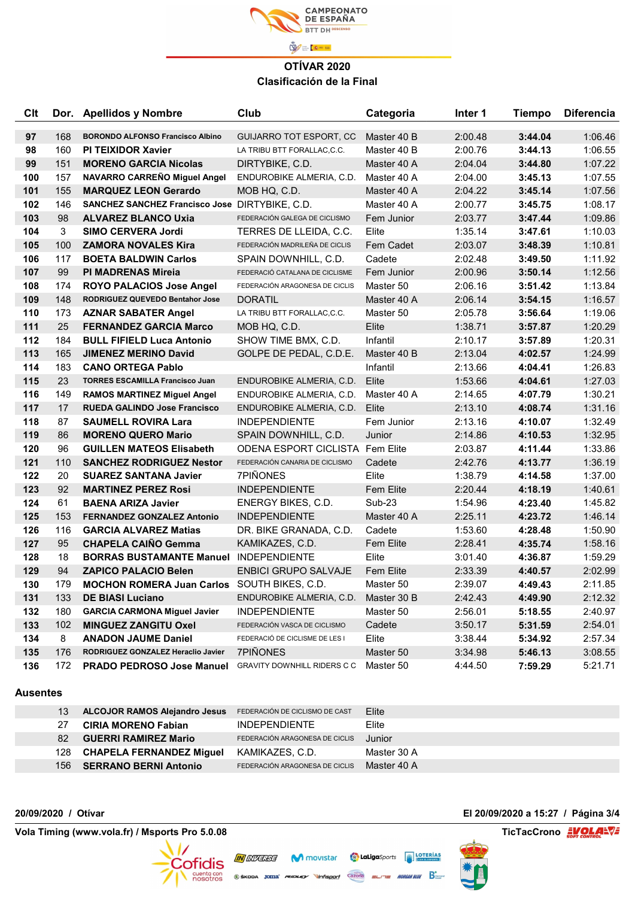

## OTÍVAR 2020 Clasificación de la Final

| Clt |     | Dor. Apellidos y Nombre                        | Club                               | Categoria   | Inter 1 | <b>Tiempo</b> | <b>Diferencia</b> |
|-----|-----|------------------------------------------------|------------------------------------|-------------|---------|---------------|-------------------|
| 97  | 168 | <b>BORONDO ALFONSO Francisco Albino</b>        | <b>GUIJARRO TOT ESPORT, CC</b>     | Master 40 B | 2:00.48 | 3:44.04       | 1:06.46           |
| 98  | 160 | <b>PI TEIXIDOR Xavier</b>                      | LA TRIBU BTT FORALLAC, C.C.        | Master 40 B | 2:00.76 | 3:44.13       | 1:06.55           |
| 99  | 151 | <b>MORENO GARCIA Nicolas</b>                   | DIRTYBIKE, C.D.                    | Master 40 A | 2:04.04 | 3:44.80       | 1:07.22           |
| 100 | 157 | NAVARRO CARREÑO Miguel Angel                   | ENDUROBIKE ALMERIA, C.D.           | Master 40 A | 2:04.00 | 3:45.13       | 1:07.55           |
| 101 | 155 | <b>MARQUEZ LEON Gerardo</b>                    | MOB HQ, C.D.                       | Master 40 A | 2:04.22 | 3:45.14       | 1:07.56           |
| 102 | 146 | SANCHEZ SANCHEZ Francisco Jose DIRTYBIKE, C.D. |                                    | Master 40 A | 2:00.77 | 3:45.75       | 1:08.17           |
| 103 | 98  | <b>ALVAREZ BLANCO Uxia</b>                     | FEDERACIÓN GALEGA DE CICLISMO      | Fem Junior  | 2:03.77 | 3:47.44       | 1:09.86           |
| 104 | 3   | <b>SIMO CERVERA Jordi</b>                      | TERRES DE LLEIDA, C.C.             | Elite       | 1:35.14 | 3:47.61       | 1:10.03           |
| 105 | 100 | <b>ZAMORA NOVALES Kira</b>                     | FEDERACIÓN MADRILEÑA DE CICLIS     | Fem Cadet   | 2:03.07 | 3:48.39       | 1:10.81           |
| 106 | 117 | <b>BOETA BALDWIN Carlos</b>                    | SPAIN DOWNHILL, C.D.               | Cadete      | 2:02.48 | 3:49.50       | 1:11.92           |
| 107 | 99  | <b>PI MADRENAS Mireia</b>                      | FEDERACIÓ CATALANA DE CICLISME     | Fem Junior  | 2:00.96 | 3:50.14       | 1:12.56           |
| 108 | 174 | <b>ROYO PALACIOS Jose Angel</b>                | FEDERACIÓN ARAGONESA DE CICLIS     | Master 50   | 2:06.16 | 3:51.42       | 1:13.84           |
| 109 | 148 | RODRIGUEZ QUEVEDO Bentahor Jose                | <b>DORATIL</b>                     | Master 40 A | 2:06.14 | 3:54.15       | 1:16.57           |
| 110 | 173 | <b>AZNAR SABATER Angel</b>                     | LA TRIBU BTT FORALLAC, C.C.        | Master 50   | 2:05.78 | 3:56.64       | 1:19.06           |
| 111 | 25  | <b>FERNANDEZ GARCIA Marco</b>                  | MOB HQ, C.D.                       | Elite       | 1:38.71 | 3:57.87       | 1:20.29           |
| 112 | 184 | <b>BULL FIFIELD Luca Antonio</b>               | SHOW TIME BMX, C.D.                | Infantil    | 2:10.17 | 3:57.89       | 1:20.31           |
| 113 | 165 | <b>JIMENEZ MERINO David</b>                    | GOLPE DE PEDAL, C.D.E.             | Master 40 B | 2:13.04 | 4:02.57       | 1:24.99           |
| 114 | 183 | <b>CANO ORTEGA Pablo</b>                       |                                    | Infantil    | 2:13.66 | 4:04.41       | 1:26.83           |
| 115 | 23  | <b>TORRES ESCAMILLA Francisco Juan</b>         | ENDUROBIKE ALMERIA, C.D.           | Elite       | 1:53.66 | 4:04.61       | 1:27.03           |
| 116 | 149 | <b>RAMOS MARTINEZ Miguel Angel</b>             | ENDUROBIKE ALMERIA, C.D.           | Master 40 A | 2:14.65 | 4:07.79       | 1:30.21           |
| 117 | 17  | <b>RUEDA GALINDO Jose Francisco</b>            | ENDUROBIKE ALMERIA, C.D.           | Elite       | 2:13.10 | 4:08.74       | 1:31.16           |
| 118 | 87  | <b>SAUMELL ROVIRA Lara</b>                     | <b>INDEPENDIENTE</b>               | Fem Junior  | 2:13.16 | 4:10.07       | 1:32.49           |
| 119 | 86  | <b>MORENO QUERO Mario</b>                      | SPAIN DOWNHILL, C.D.               | Junior      | 2:14.86 | 4:10.53       | 1:32.95           |
| 120 | 96  | <b>GUILLEN MATEOS Elisabeth</b>                | ODENA ESPORT CICLISTA Fem Elite    |             | 2:03.87 | 4:11.44       | 1:33.86           |
| 121 | 110 | <b>SANCHEZ RODRIGUEZ Nestor</b>                | FEDERACIÓN CANARIA DE CICLISMO     | Cadete      | 2:42.76 | 4:13.77       | 1:36.19           |
| 122 | 20  | <b>SUAREZ SANTANA Javier</b>                   | 7PIÑONES                           | Elite       | 1:38.79 | 4:14.58       | 1:37.00           |
| 123 | 92  | <b>MARTINEZ PEREZ Rosi</b>                     | <b>INDEPENDIENTE</b>               | Fem Elite   | 2:20.44 | 4:18.19       | 1:40.61           |
| 124 | 61  | <b>BAENA ARIZA Javier</b>                      | ENERGY BIKES, C.D.                 | Sub-23      | 1:54.96 | 4:23.40       | 1:45.82           |
| 125 | 153 | <b>FERNANDEZ GONZALEZ Antonio</b>              | <b>INDEPENDIENTE</b>               | Master 40 A | 2:25.11 | 4:23.72       | 1:46.14           |
| 126 | 116 | <b>GARCIA ALVAREZ Matias</b>                   | DR. BIKE GRANADA, C.D.             | Cadete      | 1:53.60 | 4:28.48       | 1:50.90           |
| 127 | 95  | <b>CHAPELA CAIÑO Gemma</b>                     | KAMIKAZES, C.D.                    | Fem Elite   | 2:28.41 | 4:35.74       | 1:58.16           |
| 128 | 18  | <b>BORRAS BUSTAMANTE Manuel INDEPENDIENTE</b>  |                                    | Elite       | 3:01.40 | 4:36.87       | 1:59.29           |
| 129 | 94  | <b>ZAPICO PALACIO Belen</b>                    | <b>ENBICI GRUPO SALVAJE</b>        | Fem Elite   | 2:33.39 | 4:40.57       | 2:02.99           |
| 130 | 179 | MOCHON ROMERA Juan Carlos SOUTH BIKES, C.D.    |                                    | Master 50   | 2:39.07 | 4:49.43       | 2:11.85           |
| 131 | 133 | <b>DE BIASI Luciano</b>                        | ENDUROBIKE ALMERIA, C.D.           | Master 30 B | 2:42.43 | 4:49.90       | 2:12.32           |
| 132 | 180 | <b>GARCIA CARMONA Miguel Javier</b>            | <b>INDEPENDIENTE</b>               | Master 50   | 2:56.01 | 5:18.55       | 2:40.97           |
| 133 | 102 | <b>MINGUEZ ZANGITU Oxel</b>                    | FEDERACIÓN VASCA DE CICLISMO       | Cadete      | 3:50.17 | 5:31.59       | 2:54.01           |
| 134 | 8   | <b>ANADON JAUME Daniel</b>                     | FEDERACIÓ DE CICLISME DE LES I     | Elite       | 3:38.44 | 5:34.92       | 2:57.34           |
| 135 | 176 | RODRIGUEZ GONZALEZ Heraclio Javier             | 7PIÑONES                           | Master 50   | 3:34.98 | 5:46.13       | 3:08.55           |
| 136 | 172 | <b>PRADO PEDROSO Jose Manuel</b>               | <b>GRAVITY DOWNHILL RIDERS C C</b> | Master 50   | 4:44.50 | 7:59.29       | 5:21.71           |

#### Ausentes

| $13^\circ$ | <b>ALCOJOR RAMOS Alejandro Jesus</b> | FEDERACIÓN DE CICLISMO DE CAST | Elite       |
|------------|--------------------------------------|--------------------------------|-------------|
| 27         | CIRIA MORENO Fabian                  | <b>INDEPENDIENTE</b>           | Elite       |
| 82         | <b>GUERRI RAMIREZ Mario</b>          | FEDERACIÓN ARAGONESA DE CICLIS | Junior      |
| 128        | <b>CHAPELA FERNANDEZ Miquel</b>      | KAMIKAZES. C.D.                | Master 30 A |
| 156        | <b>SERRANO BERNI Antonio</b>         | FEDERACIÓN ARAGONESA DE CICLIS | Master 40 A |

Cazorla

 $I \rightarrow E$ 

Vola Timing (www.vola.fr) / Msports Pro 5.0.08 TicTacCrono and TicTacCrono and TicTacCrono and TicTacCrono and TicTacCrono and TicTacCrono and TicTacCrono and TicTacCrono and TicTacCrono and TicTacCrono and TicTacCrono and

 $\prime$ 

**Cofidis** 

cuenta con<br>nosotros